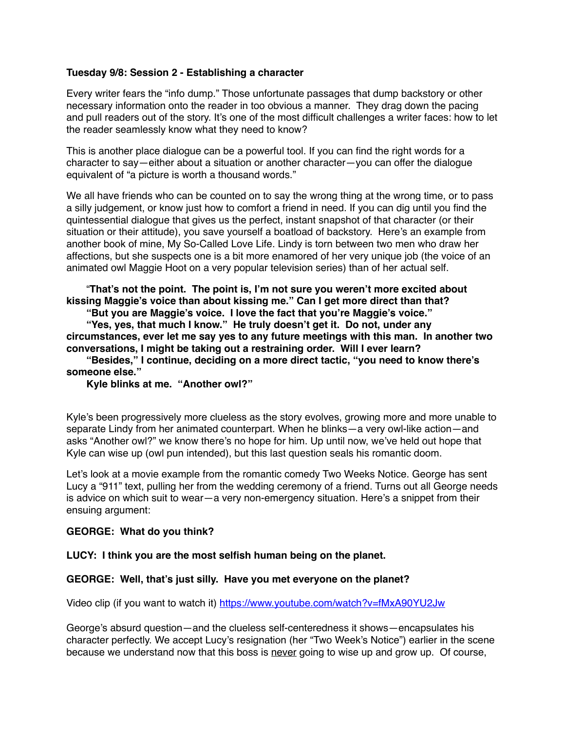## **Tuesday 9/8: Session 2 - Establishing a character**

Every writer fears the "info dump." Those unfortunate passages that dump backstory or other necessary information onto the reader in too obvious a manner. They drag down the pacing and pull readers out of the story. It's one of the most difficult challenges a writer faces: how to let the reader seamlessly know what they need to know?

This is another place dialogue can be a powerful tool. If you can find the right words for a character to say—either about a situation or another character—you can offer the dialogue equivalent of "a picture is worth a thousand words."

We all have friends who can be counted on to say the wrong thing at the wrong time, or to pass a silly judgement, or know just how to comfort a friend in need. If you can dig until you find the quintessential dialogue that gives us the perfect, instant snapshot of that character (or their situation or their attitude), you save yourself a boatload of backstory. Here's an example from another book of mine, My So-Called Love Life. Lindy is torn between two men who draw her affections, but she suspects one is a bit more enamored of her very unique job (the voice of an animated owl Maggie Hoot on a very popular television series) than of her actual self.

"**That's not the point. The point is, I'm not sure you weren't more excited about kissing Maggie's voice than about kissing me." Can I get more direct than that?**

**"But you are Maggie's voice. I love the fact that you're Maggie's voice."**

**"Yes, yes, that much I know." He truly doesn't get it. Do not, under any circumstances, ever let me say yes to any future meetings with this man. In another two conversations, I might be taking out a restraining order. Will I ever learn?**

**"Besides," I continue, deciding on a more direct tactic, "you need to know there's someone else."**

**Kyle blinks at me. "Another owl?"**

Kyle's been progressively more clueless as the story evolves, growing more and more unable to separate Lindy from her animated counterpart. When he blinks—a very owl-like action—and asks "Another owl?" we know there's no hope for him. Up until now, we've held out hope that Kyle can wise up (owl pun intended), but this last question seals his romantic doom.

Let's look at a movie example from the romantic comedy Two Weeks Notice. George has sent Lucy a "911" text, pulling her from the wedding ceremony of a friend. Turns out all George needs is advice on which suit to wear—a very non-emergency situation. Here's a snippet from their ensuing argument:

## **GEORGE: What do you think?**

**LUCY: I think you are the most selfish human being on the planet.**

## **GEORGE: Well, that's just silly. Have you met everyone on the planet?**

Video clip (if you want to watch it)<https://www.youtube.com/watch?v=fMxA90YU2Jw>

George's absurd question—and the clueless self-centeredness it shows—encapsulates his character perfectly. We accept Lucy's resignation (her "Two Week's Notice") earlier in the scene because we understand now that this boss is never going to wise up and grow up. Of course,